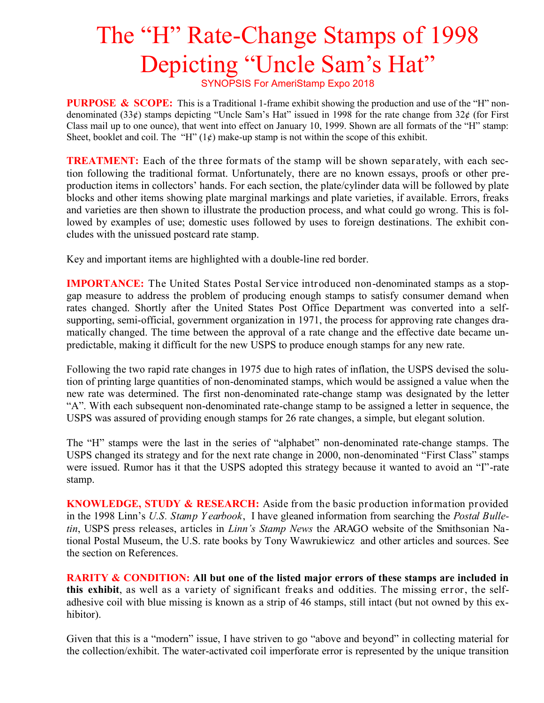## The "H" Rate-Change Stamps of 1998 Depicting "Uncle Sam's Hat"

SYNOPSIS For AmeriStamp Expo 2018

**PURPOSE & SCOPE:** This is a Traditional 1-frame exhibit showing the production and use of the "H" nondenominated (33¢) stamps depicting "Uncle Sam's Hat" issued in 1998 for the rate change from  $32\ell$  (for First Class mail up to one ounce), that went into effect on January 10, 1999. Shown are all formats of the "H" stamp: Sheet, booklet and coil. The "H"  $(1¢)$  make-up stamp is not within the scope of this exhibit.

**TREATMENT:** Each of the three formats of the stamp will be shown separately, with each section following the traditional format. Unfortunately, there are no known essays, proofs or other preproduction items in collectors' hands. For each section, the plate/cylinder data will be followed by plate blocks and other items showing plate marginal markings and plate varieties, if available. Errors, freaks and varieties are then shown to illustrate the production process, and what could go wrong. This is followed by examples of use; domestic uses followed by uses to foreign destinations. The exhibit concludes with the unissued postcard rate stamp.

Key and important items are highlighted with a double-line red border.

**IMPORTANCE:** The United States Postal Service introduced non-denominated stamps as a stopgap measure to address the problem of producing enough stamps to satisfy consumer demand when rates changed. Shortly after the United States Post Office Department was converted into a selfsupporting, semi-official, government organization in 1971, the process for approving rate changes dramatically changed. The time between the approval of a rate change and the effective date became unpredictable, making it difficult for the new USPS to produce enough stamps for any new rate.

Following the two rapid rate changes in 1975 due to high rates of inflation, the USPS devised the solution of printing large quantities of non-denominated stamps, which would be assigned a value when the new rate was determined. The first non-denominated rate-change stamp was designated by the letter "A". With each subsequent non-denominated rate-change stamp to be assigned a letter in sequence, the USPS was assured of providing enough stamps for 26 rate changes, a simple, but elegant solution.

The "H" stamps were the last in the series of "alphabet" non-denominated rate-change stamps. The USPS changed its strategy and for the next rate change in 2000, non-denominated "First Class" stamps were issued. Rumor has it that the USPS adopted this strategy because it wanted to avoid an "I"-rate stamp.

**KNOWLEDGE, STUDY & RESEARCH:** Aside from the basic production information provided in the 1998 Linn's *U.S. Stamp Y earbook*, I have gleaned information from searching the *Postal Bulletin*, USPS press releases, articles in *Linn's Stamp News* the ARAGO website of the Smithsonian National Postal Museum, the U.S. rate books by Tony Wawrukiewicz and other articles and sources. See the section on References.

**RARITY & CONDITION:** All but one of the listed major errors of these stamps are included in **this exhibit**, as well as a variety of significant freaks and oddities. The missing error, the selfadhesive coil with blue missing is known as a strip of 46 stamps, still intact (but not owned by this exhibitor).

Given that this is a "modern" issue, I have striven to go "above and beyond" in collecting material for the collection/exhibit. The water-activated coil imperforate error is represented by the unique transition